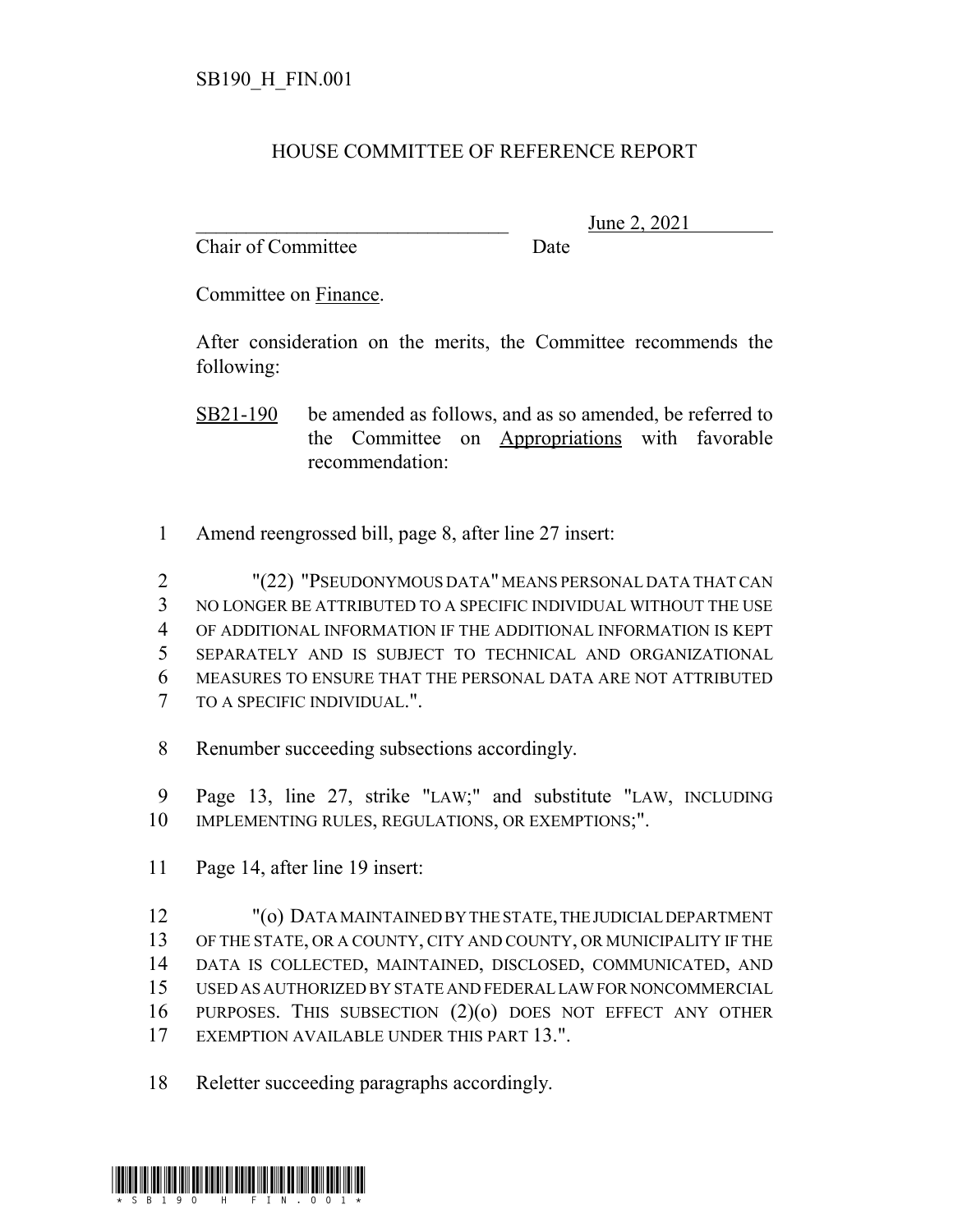## HOUSE COMMITTEE OF REFERENCE REPORT

Chair of Committee Date

June 2, 2021

Committee on Finance.

After consideration on the merits, the Committee recommends the following:

SB21-190 be amended as follows, and as so amended, be referred to the Committee on Appropriations with favorable recommendation:

Amend reengrossed bill, page 8, after line 27 insert:

 "(22) "PSEUDONYMOUS DATA" MEANS PERSONAL DATA THAT CAN NO LONGER BE ATTRIBUTED TO A SPECIFIC INDIVIDUAL WITHOUT THE USE OF ADDITIONAL INFORMATION IF THE ADDITIONAL INFORMATION IS KEPT SEPARATELY AND IS SUBJECT TO TECHNICAL AND ORGANIZATIONAL MEASURES TO ENSURE THAT THE PERSONAL DATA ARE NOT ATTRIBUTED TO A SPECIFIC INDIVIDUAL.".

Renumber succeeding subsections accordingly.

- Page 13, line 27, strike "LAW;" and substitute "LAW, INCLUDING IMPLEMENTING RULES, REGULATIONS, OR EXEMPTIONS;".
- Page 14, after line 19 insert:

 "(o) DATA MAINTAINED BY THE STATE, THE JUDICIAL DEPARTMENT OF THE STATE, OR A COUNTY, CITY AND COUNTY, OR MUNICIPALITY IF THE DATA IS COLLECTED, MAINTAINED, DISCLOSED, COMMUNICATED, AND USED AS AUTHORIZED BY STATE AND FEDERAL LAW FOR NONCOMMERCIAL PURPOSES. THIS SUBSECTION (2)(o) DOES NOT EFFECT ANY OTHER EXEMPTION AVAILABLE UNDER THIS PART 13.".

Reletter succeeding paragraphs accordingly.

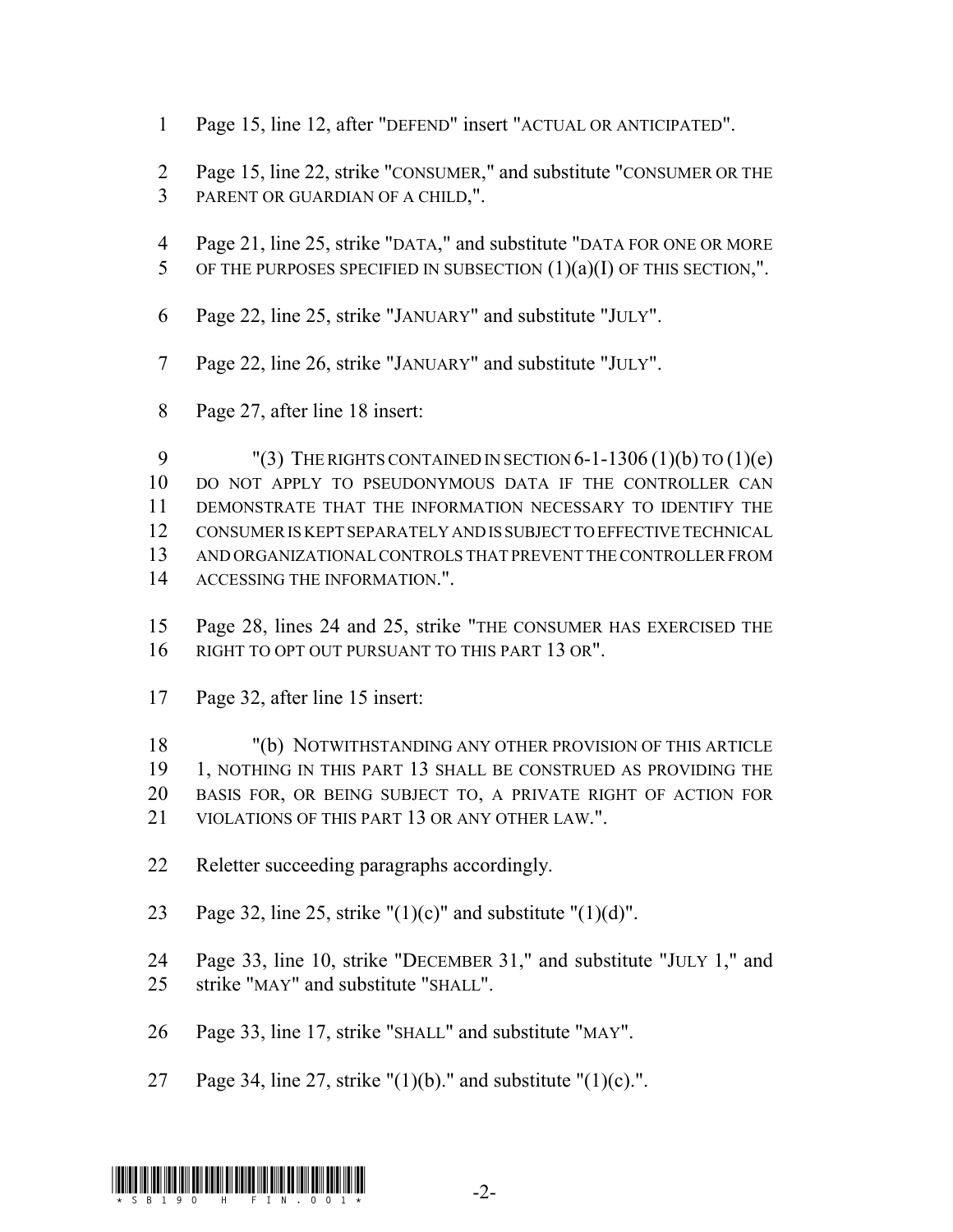- Page 15, line 12, after "DEFEND" insert "ACTUAL OR ANTICIPATED".
- Page 15, line 22, strike "CONSUMER," and substitute "CONSUMER OR THE PARENT OR GUARDIAN OF A CHILD,".
- Page 21, line 25, strike "DATA," and substitute "DATA FOR ONE OR MORE
- 5 OF THE PURPOSES SPECIFIED IN SUBSECTION  $(1)(a)(I)$  OF THIS SECTION,".
- Page 22, line 25, strike "JANUARY" and substitute "JULY".
- Page 22, line 26, strike "JANUARY" and substitute "JULY".
- Page 27, after line 18 insert:

9 "(3) THE RIGHTS CONTAINED IN SECTION  $6-1-1306(1)(b)$  TO  $(1)(e)$  DO NOT APPLY TO PSEUDONYMOUS DATA IF THE CONTROLLER CAN DEMONSTRATE THAT THE INFORMATION NECESSARY TO IDENTIFY THE CONSUMER IS KEPT SEPARATELY AND IS SUBJECT TO EFFECTIVE TECHNICAL AND ORGANIZATIONAL CONTROLS THAT PREVENT THE CONTROLLER FROM ACCESSING THE INFORMATION.".

- Page 28, lines 24 and 25, strike "THE CONSUMER HAS EXERCISED THE RIGHT TO OPT OUT PURSUANT TO THIS PART 13 OR".
- Page 32, after line 15 insert:

 "(b) NOTWITHSTANDING ANY OTHER PROVISION OF THIS ARTICLE 1, NOTHING IN THIS PART 13 SHALL BE CONSTRUED AS PROVIDING THE BASIS FOR, OR BEING SUBJECT TO, A PRIVATE RIGHT OF ACTION FOR VIOLATIONS OF THIS PART 13 OR ANY OTHER LAW.".

- Reletter succeeding paragraphs accordingly.
- 23 Page 32, line 25, strike " $(1)(c)$ " and substitute " $(1)(d)$ ".

 Page 33, line 10, strike "DECEMBER 31," and substitute "JULY 1," and strike "MAY" and substitute "SHALL".

- Page 33, line 17, strike "SHALL" and substitute "MAY".
- 27 Page 34, line 27, strike " $(1)(b)$ ." and substitute " $(1)(c)$ .".